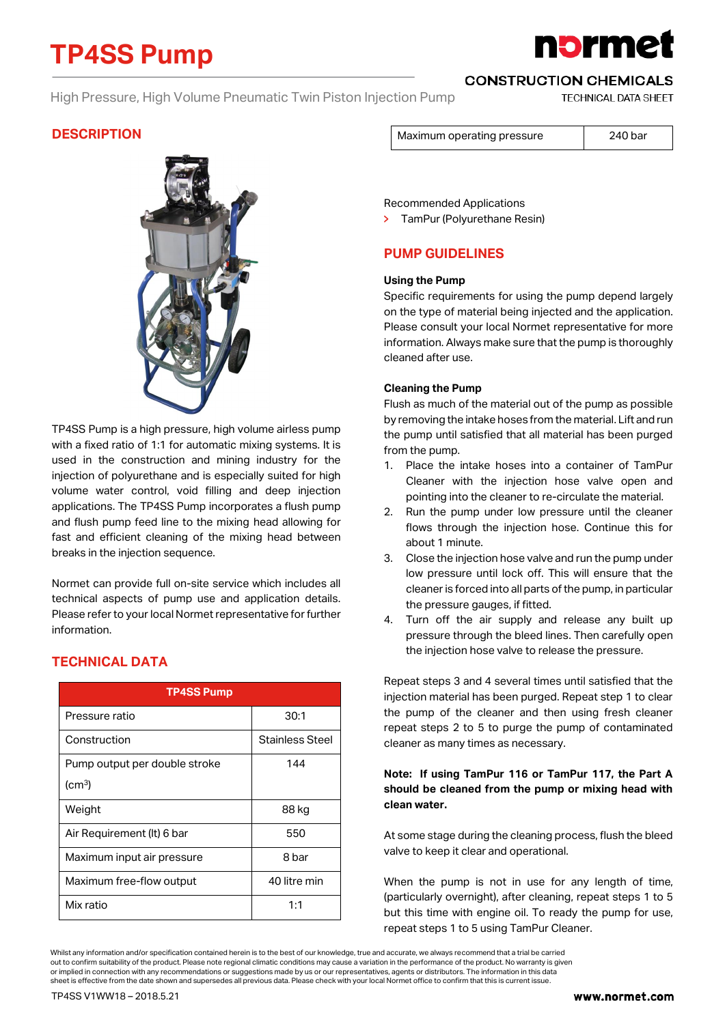# **TP4SS Pump**

# **1brme**

### High Pressure, High Volume Pneumatic Twin Piston Injection Pump

**CONSTRUCTION CHEMICALS** 

**TECHNICAL DATA SHEET** 

## **DESCRIPTION**



TP4SS Pump is a high pressure, high volume airless pump with a fixed ratio of 1:1 for automatic mixing systems. It is used in the construction and mining industry for the injection of polyurethane and is especially suited for high volume water control, void filling and deep injection applications. The TP4SS Pump incorporates a flush pump and flush pump feed line to the mixing head allowing for fast and efficient cleaning of the mixing head between breaks in the injection sequence.

Normet can provide full on-site service which includes all technical aspects of pump use and application details. Please refer to your local Normet representative for further information.

| <b>TP4SS Pump</b>             |                 |
|-------------------------------|-----------------|
| Pressure ratio                | 30:1            |
| Construction                  | Stainless Steel |
| Pump output per double stroke | 144             |
| $\rm (cm^3)$                  |                 |
| Weight                        | 88 kg           |
| Air Requirement (It) 6 bar    | 550             |
| Maximum input air pressure    | 8 bar           |
| Maximum free-flow output      | 40 litre min    |
| Mix ratio                     | 1:1             |

## **TECHNICAL DATA**

Maximum operating pressure 1 240 bar

Recommended Applications

TamPur (Polyurethane Resin)

## **PUMP GUIDELINES**

#### **Using the Pump**

Specific requirements for using the pump depend largely on the type of material being injected and the application. Please consult your local Normet representative for more information. Always make sure that the pump is thoroughly cleaned after use.

#### **Cleaning the Pump**

Flush as much of the material out of the pump as possible by removing the intake hoses from the material. Lift and run the pump until satisfied that all material has been purged from the pump.

- 1. Place the intake hoses into a container of TamPur Cleaner with the injection hose valve open and pointing into the cleaner to re-circulate the material.
- 2. Run the pump under low pressure until the cleaner flows through the injection hose. Continue this for about 1 minute.
- 3. Close the injection hose valve and run the pump under low pressure until lock off. This will ensure that the cleaner is forced into all parts of the pump, in particular the pressure gauges, if fitted.
- 4. Turn off the air supply and release any built up pressure through the bleed lines. Then carefully open the injection hose valve to release the pressure.

Repeat steps 3 and 4 several times until satisfied that the injection material has been purged. Repeat step 1 to clear the pump of the cleaner and then using fresh cleaner repeat steps 2 to 5 to purge the pump of contaminated cleaner as many times as necessary.

#### **Note: If using TamPur 116 or TamPur 117, the Part A should be cleaned from the pump or mixing head with clean water.**

At some stage during the cleaning process, flush the bleed valve to keep it clear and operational.

When the pump is not in use for any length of time, (particularly overnight), after cleaning, repeat steps 1 to 5 but this time with engine oil. To ready the pump for use, repeat steps 1 to 5 using TamPur Cleaner.

Whilst any information and/or specification contained herein is to the best of our knowledge, true and accurate, we always recommend that a trial be carried out to confirm suitability of the product. Please note regional climatic conditions may cause a variation in the performance of the product. No warranty is given or implied in connection with any recommendations or suggestions made by us or our representatives, agents or distributors. The information in this data sheet is effective from the date shown and supersedes all previous data. Please check with your local Normet office to confirm that this is current issue.